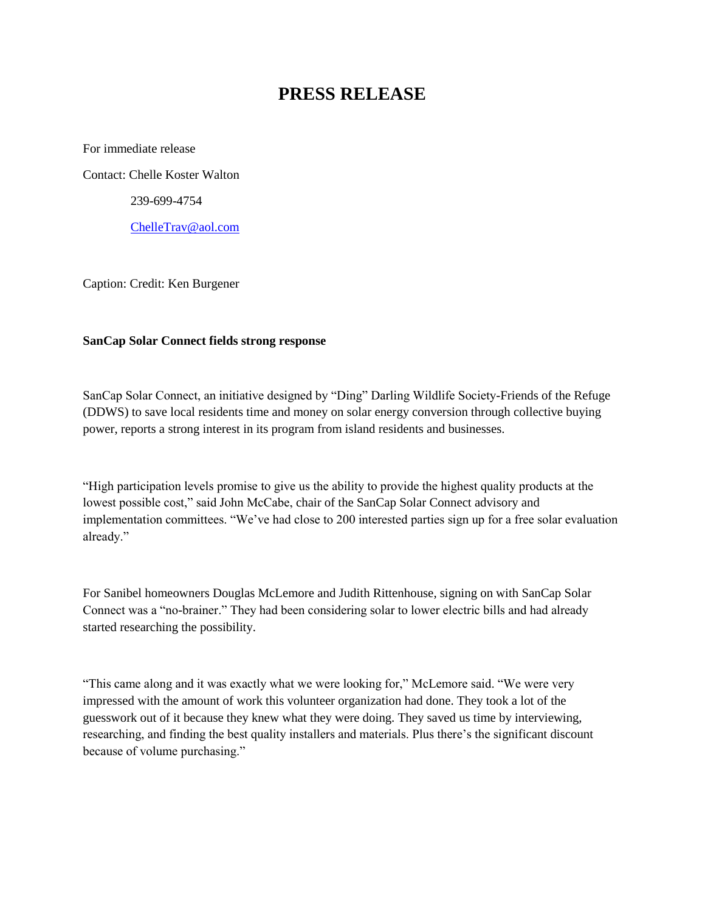## **PRESS RELEASE**

For immediate release Contact: Chelle Koster Walton 239-699-4754 [ChelleTrav@aol.com](mailto:ChelleTrav@aol.com)

Caption: Credit: Ken Burgener

## **SanCap Solar Connect fields strong response**

SanCap Solar Connect, an initiative designed by "Ding" Darling Wildlife Society-Friends of the Refuge (DDWS) to save local residents time and money on solar energy conversion through collective buying power, reports a strong interest in its program from island residents and businesses.

"High participation levels promise to give us the ability to provide the highest quality products at the lowest possible cost," said John McCabe, chair of the SanCap Solar Connect advisory and implementation committees. "We've had close to 200 interested parties sign up for a free solar evaluation already."

For Sanibel homeowners Douglas McLemore and Judith Rittenhouse, signing on with SanCap Solar Connect was a "no-brainer." They had been considering solar to lower electric bills and had already started researching the possibility.

"This came along and it was exactly what we were looking for," McLemore said. "We were very impressed with the amount of work this volunteer organization had done. They took a lot of the guesswork out of it because they knew what they were doing. They saved us time by interviewing, researching, and finding the best quality installers and materials. Plus there's the significant discount because of volume purchasing."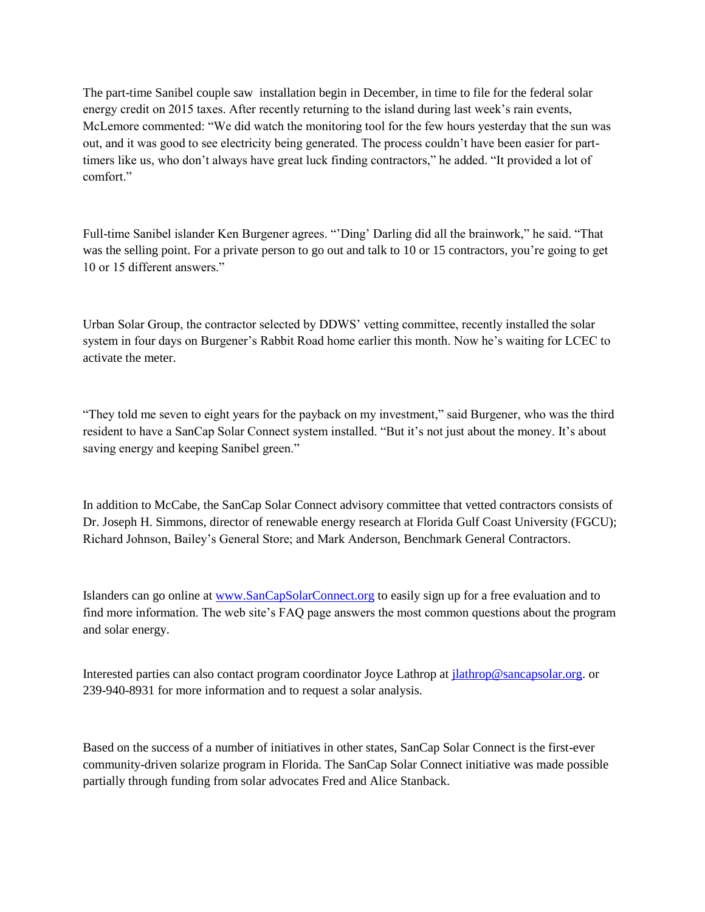The part-time Sanibel couple saw installation begin in December, in time to file for the federal solar energy credit on 2015 taxes. After recently returning to the island during last week's rain events, McLemore commented: "We did watch the monitoring tool for the few hours yesterday that the sun was out, and it was good to see electricity being generated. The process couldn't have been easier for parttimers like us, who don't always have great luck finding contractors," he added. "It provided a lot of comfort."

Full-time Sanibel islander Ken Burgener agrees. "'Ding' Darling did all the brainwork," he said. "That was the selling point. For a private person to go out and talk to 10 or 15 contractors, you're going to get 10 or 15 different answers."

Urban Solar Group, the contractor selected by DDWS' vetting committee, recently installed the solar system in four days on Burgener's Rabbit Road home earlier this month. Now he's waiting for LCEC to activate the meter.

"They told me seven to eight years for the payback on my investment," said Burgener, who was the third resident to have a SanCap Solar Connect system installed. "But it's not just about the money. It's about saving energy and keeping Sanibel green."

In addition to McCabe, the SanCap Solar Connect advisory committee that vetted contractors consists of Dr. Joseph H. Simmons, director of renewable energy research at Florida Gulf Coast University (FGCU); Richard Johnson, Bailey's General Store; and Mark Anderson, Benchmark General Contractors.

Islanders can go online at [www.SanCapSolarConnect.org](http://www.sancapsolarconnect.org/) to easily sign up for a free evaluation and to find more information. The web site's FAQ page answers the most common questions about the program and solar energy.

Interested parties can also contact program coordinator Joyce Lathrop at [jlathrop@sancapsolar.org.](mailto:jlathrop@sancapsolar.org) or 239-940-8931 for more information and to request a solar analysis.

Based on the success of a number of initiatives in other states, SanCap Solar Connect is the first-ever community-driven solarize program in Florida. The SanCap Solar Connect initiative was made possible partially through funding from solar advocates Fred and Alice Stanback.